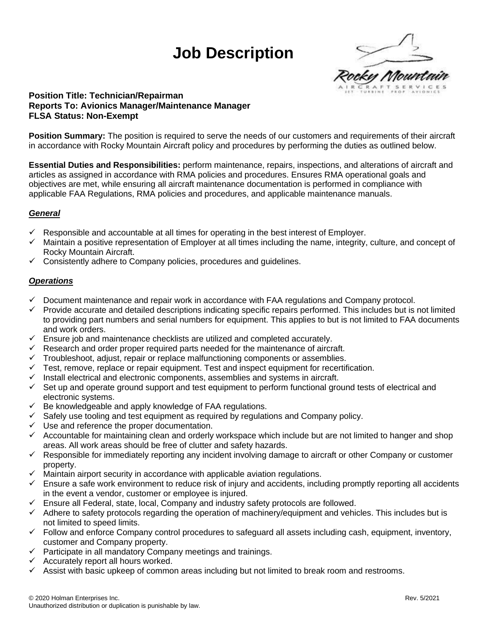# **Job Description**



### **Position Title: Technician/Repairman Reports To: Avionics Manager/Maintenance Manager FLSA Status: Non-Exempt**

**Position Summary:** The position is required to serve the needs of our customers and requirements of their aircraft in accordance with Rocky Mountain Aircraft policy and procedures by performing the duties as outlined below.

**Essential Duties and Responsibilities:** perform maintenance, repairs, inspections, and alterations of aircraft and articles as assigned in accordance with RMA policies and procedures. Ensures RMA operational goals and objectives are met, while ensuring all aircraft maintenance documentation is performed in compliance with applicable FAA Regulations, RMA policies and procedures, and applicable maintenance manuals.

# *General*

- $\checkmark$  Responsible and accountable at all times for operating in the best interest of Employer.
- ✓ Maintain a positive representation of Employer at all times including the name, integrity, culture, and concept of Rocky Mountain Aircraft.
- $\checkmark$  Consistently adhere to Company policies, procedures and guidelines.

#### *Operations*

- $\checkmark$  Document maintenance and repair work in accordance with FAA regulations and Company protocol.
- $\checkmark$  Provide accurate and detailed descriptions indicating specific repairs performed. This includes but is not limited to providing part numbers and serial numbers for equipment. This applies to but is not limited to FAA documents and work orders.
- $\checkmark$  Ensure job and maintenance checklists are utilized and completed accurately.
- $\checkmark$  Research and order proper required parts needed for the maintenance of aircraft.
- $\checkmark$  Troubleshoot, adjust, repair or replace malfunctioning components or assemblies.<br> $\checkmark$  Test remove replace or repair equipment Test and inspect equipment for recertif
- Test, remove, replace or repair equipment. Test and inspect equipment for recertification.
- $\checkmark$  Install electrical and electronic components, assemblies and systems in aircraft.
- ✓ Set up and operate ground support and test equipment to perform functional ground tests of electrical and electronic systems.
- $\checkmark$  Be knowledgeable and apply knowledge of FAA regulations.
- $\checkmark$  Safely use tooling and test equipment as required by regulations and Company policy.
- Use and reference the proper documentation.
- $\checkmark$  Accountable for maintaining clean and orderly workspace which include but are not limited to hanger and shop areas. All work areas should be free of clutter and safety hazards.
- ✓ Responsible for immediately reporting any incident involving damage to aircraft or other Company or customer property.
- $\checkmark$  Maintain airport security in accordance with applicable aviation regulations.
- $\checkmark$  Ensure a safe work environment to reduce risk of injury and accidents, including promptly reporting all accidents in the event a vendor, customer or employee is injured.
- $\checkmark$  Ensure all Federal, state, local, Company and industry safety protocols are followed.
- ✓ Adhere to safety protocols regarding the operation of machinery/equipment and vehicles. This includes but is not limited to speed limits.
- $\checkmark$  Follow and enforce Company control procedures to safeguard all assets including cash, equipment, inventory, customer and Company property.
- ✓ Participate in all mandatory Company meetings and trainings.
- $\checkmark$  Accurately report all hours worked.
- Assist with basic upkeep of common areas including but not limited to break room and restrooms.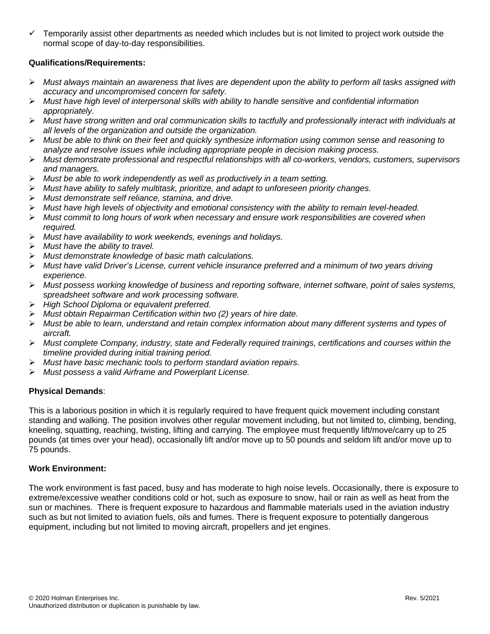$\checkmark$  Temporarily assist other departments as needed which includes but is not limited to project work outside the normal scope of day-to-day responsibilities.

## **Qualifications/Requirements:**

- ➢ *Must always maintain an awareness that lives are dependent upon the ability to perform all tasks assigned with accuracy and uncompromised concern for safety.*
- ➢ *Must have high level of interpersonal skills with ability to handle sensitive and confidential information appropriately.*
- ➢ *Must have strong written and oral communication skills to tactfully and professionally interact with individuals at all levels of the organization and outside the organization.*
- ➢ *Must be able to think on their feet and quickly synthesize information using common sense and reasoning to analyze and resolve issues while including appropriate people in decision making process.*
- ➢ *Must demonstrate professional and respectful relationships with all co-workers, vendors, customers, supervisors and managers.*
- ➢ *Must be able to work independently as well as productively in a team setting.*
- ➢ *Must have ability to safely multitask, prioritize, and adapt to unforeseen priority changes.*
- ➢ *Must demonstrate self reliance, stamina, and drive.*
- ➢ *Must have high levels of objectivity and emotional consistency with the ability to remain level-headed.*
- ➢ *Must commit to long hours of work when necessary and ensure work responsibilities are covered when required.*
- ➢ *Must have availability to work weekends, evenings and holidays.*
- ➢ *Must have the ability to travel.*
- ➢ *Must demonstrate knowledge of basic math calculations.*
- ➢ *Must have valid Driver's License, current vehicle insurance preferred and a minimum of two years driving experience.*
- ➢ *Must possess working knowledge of business and reporting software, internet software, point of sales systems, spreadsheet software and work processing software.*
- ➢ *High School Diploma or equivalent preferred.*
- ➢ *Must obtain Repairman Certification within two (2) years of hire date.*
- ➢ *Must be able to learn, understand and retain complex information about many different systems and types of aircraft.*
- ➢ *Must complete Company, industry, state and Federally required trainings, certifications and courses within the timeline provided during initial training period.*
- ➢ *Must have basic mechanic tools to perform standard aviation repairs.*
- ➢ *Must possess a valid Airframe and Powerplant License.*

#### **Physical Demands**:

This is a laborious position in which it is regularly required to have frequent quick movement including constant standing and walking. The position involves other regular movement including, but not limited to, climbing, bending, kneeling, squatting, reaching, twisting, lifting and carrying. The employee must frequently lift/move/carry up to 25 pounds (at times over your head), occasionally lift and/or move up to 50 pounds and seldom lift and/or move up to 75 pounds.

#### **Work Environment:**

The work environment is fast paced, busy and has moderate to high noise levels. Occasionally, there is exposure to extreme/excessive weather conditions cold or hot, such as exposure to snow, hail or rain as well as heat from the sun or machines. There is frequent exposure to hazardous and flammable materials used in the aviation industry such as but not limited to aviation fuels, oils and fumes. There is frequent exposure to potentially dangerous equipment, including but not limited to moving aircraft, propellers and jet engines.